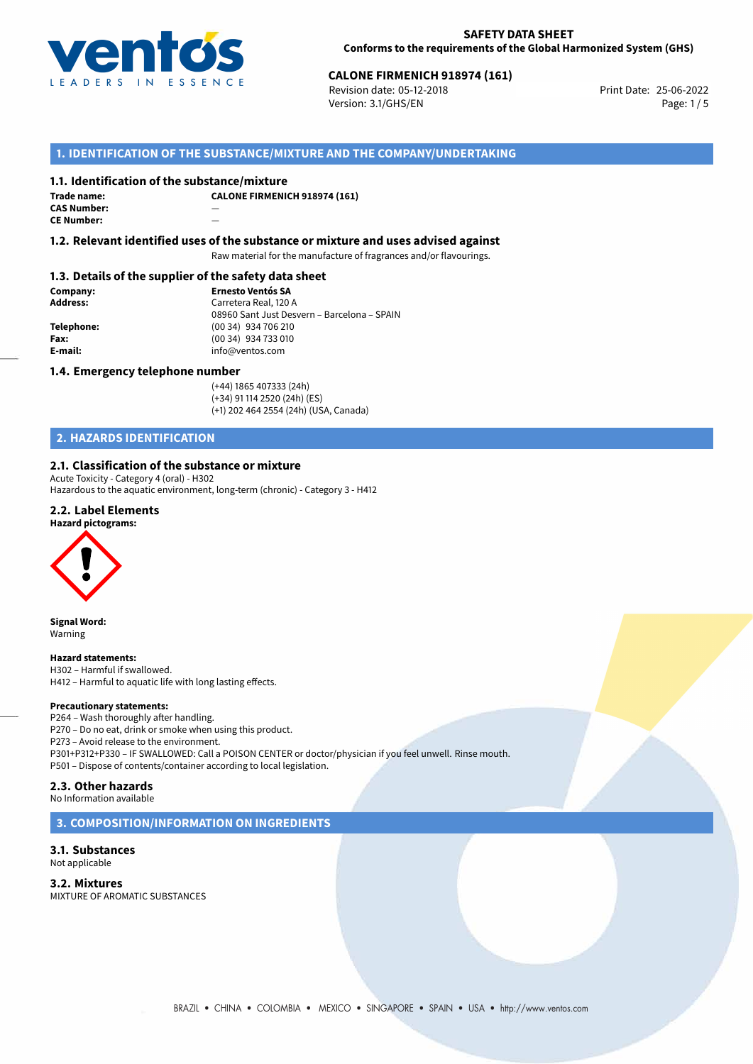

Revision date: 05-12-2018 Version: 3.1/GHS/EN Page: 1 / 5

## **1. IDENTIFICATION OF THE SUBSTANCE/MIXTURE AND THE COMPANY/UNDERTAKING**

#### **1.1. Identification of the substance/mixture**

**Trade name: CAS Number:** — **CE Number:** 

**CALONE FIRMENICH 918974 (161)**

**1.2. Relevant identified uses of the substance or mixture and uses advised against**

Raw material for the manufacture of fragrances and/or flavourings.

#### **1.3. Details of the supplier of the safety data sheet**

**Company: Ernesto Ventós SA Address:** Carretera Real, 120 A 08960 Sant Just Desvern – Barcelona – SPAIN **Telephone:** (00 34) 934 706 210 **Fax:** (00 34) 934 733 010<br> **E-mail: E-mail:** info@ventos.com **E-mail:** info@ventos.com

#### **1.4. Emergency telephone number**

(+44) 1865 407333 (24h) (+34) 91 114 2520 (24h) (ES) (+1) 202 464 2554 (24h) (USA, Canada)

### **2. HAZARDS IDENTIFICATION**

#### **2.1. Classification of the substance or mixture**

Acute Toxicity - Category 4 (oral) - H302

Hazardous to the aquatic environment, long-term (chronic) - Category 3 - H412

## **2.2. Label Elements**



**Signal Word:** Warning

#### **Hazard statements:**

H302 – Harmful if swallowed. H412 – Harmful to aquatic life with long lasting effects.

#### **Precautionary statements:**

P264 – Wash thoroughly after handling. P270 – Do no eat, drink or smoke when using this product. P273 – Avoid release to the environment. P301+P312+P330 – IF SWALLOWED: Call a POISON CENTER or doctor/physician if you feel unwell. Rinse mouth. P501 – Dispose of contents/container according to local legislation.

#### **2.3. Other hazards**

No Information available

**3. COMPOSITION/INFORMATION ON INGREDIENTS**

#### **3.1. Substances** Not applicable

**3.2. Mixtures** MIXTURE OF AROMATIC SUBSTANCES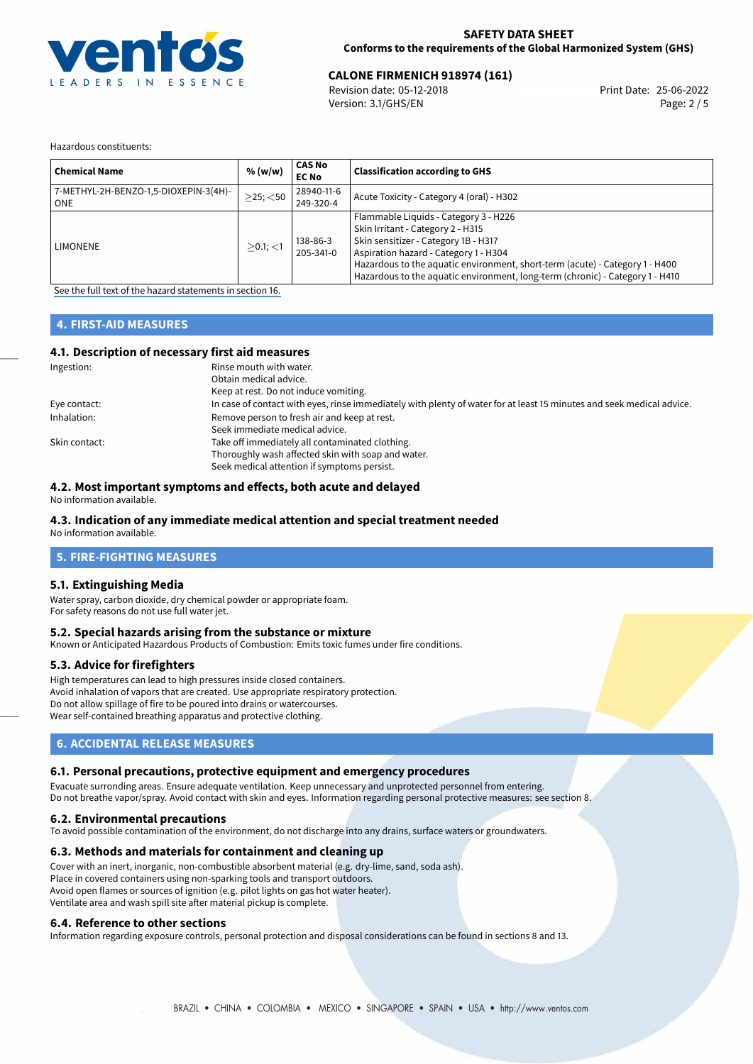

#### **SAFETY DATA SHEET Conforms to the requirements of the Global Harmonized System (GHS)**

## **CALONE FIRMENICH 918974 (161)**<br> **25-06-2022** Print Date: 25-06-2022<br>
Print Date: 25-06-2022

Revision date: 05-12-2018 Version: 3.1/GHS/EN Page: 2 / 5

Hazardous constituents:

| <b>Chemical Name</b>                           | % (w/w)        | <b>CAS No</b><br><b>EC No</b> | <b>Classification according to GHS</b>                                                                                                                                                                                                                                                                                       |
|------------------------------------------------|----------------|-------------------------------|------------------------------------------------------------------------------------------------------------------------------------------------------------------------------------------------------------------------------------------------------------------------------------------------------------------------------|
| 7-METHYL-2H-BENZO-1,5-DIOXEPIN-3(4H)-<br>l ONE | $>25$ ; $<$ 50 | 28940-11-6<br>249-320-4       | Acute Toxicity - Category 4 (oral) - H302                                                                                                                                                                                                                                                                                    |
| <b>LIMONENE</b>                                | $>0.1$ ; <1    | 138-86-3<br>205-341-0         | Flammable Liquids - Category 3 - H226<br>Skin Irritant - Category 2 - H315<br>Skin sensitizer - Category 1B - H317<br>Aspiration hazard - Category 1 - H304<br>Hazardous to the aquatic environment, short-term (acute) - Category 1 - H400<br>Hazardous to the aquatic environment, long-term (chronic) - Category 1 - H410 |

[See the full text of the hazard statements in section 16.](#page-4-0)

## **4. FIRST-AID MEASURES**

### **4.1. Description of necessary first aid measures**

| Ingestion:    | Rinse mouth with water.                                                                                               |  |  |
|---------------|-----------------------------------------------------------------------------------------------------------------------|--|--|
|               | Obtain medical advice.                                                                                                |  |  |
|               | Keep at rest. Do not induce vomiting.                                                                                 |  |  |
| Eye contact:  | In case of contact with eyes, rinse immediately with plenty of water for at least 15 minutes and seek medical advice. |  |  |
| Inhalation:   | Remove person to fresh air and keep at rest.                                                                          |  |  |
|               | Seek immediate medical advice.                                                                                        |  |  |
| Skin contact: | Take off immediately all contaminated clothing.                                                                       |  |  |
|               | Thoroughly wash affected skin with soap and water.                                                                    |  |  |
|               | Seek medical attention if symptoms persist.                                                                           |  |  |

#### **4.2. Most important symptoms and effects, both acute and delayed**

No information available.

### **4.3. Indication of any immediate medical attention and special treatment needed**

No information available.

### **5. FIRE-FIGHTING MEASURES**

#### **5.1. Extinguishing Media**

Water spray, carbon dioxide, dry chemical powder or appropriate foam. For safety reasons do not use full water jet.

#### **5.2. Special hazards arising from the substance or mixture**

Known or Anticipated Hazardous Products of Combustion: Emits toxic fumes under fire conditions.

#### **5.3. Advice for firefighters**

High temperatures can lead to high pressures inside closed containers. Avoid inhalation of vapors that are created. Use appropriate respiratory protection. Do not allow spillage of fire to be poured into drains or watercourses. Wear self-contained breathing apparatus and protective clothing.

## **6. ACCIDENTAL RELEASE MEASURES**

#### **6.1. Personal precautions, protective equipment and emergency procedures**

Evacuate surronding areas. Ensure adequate ventilation. Keep unnecessary and unprotected personnel from entering. Do not breathe vapor/spray. Avoid contact with skin and eyes. Information regarding personal protective measures: see section 8.

#### **6.2. Environmental precautions**

To avoid possible contamination of the environment, do not discharge into any drains, surface waters or groundwaters.

#### **6.3. Methods and materials for containment and cleaning up**

Cover with an inert, inorganic, non-combustible absorbent material (e.g. dry-lime, sand, soda ash). Place in covered containers using non-sparking tools and transport outdoors. Avoid open flames or sources of ignition (e.g. pilot lights on gas hot water heater). Ventilate area and wash spill site after material pickup is complete.

#### **6.4. Reference to other sections**

Information regarding exposure controls, personal protection and disposal considerations can be found in sections 8 and 13.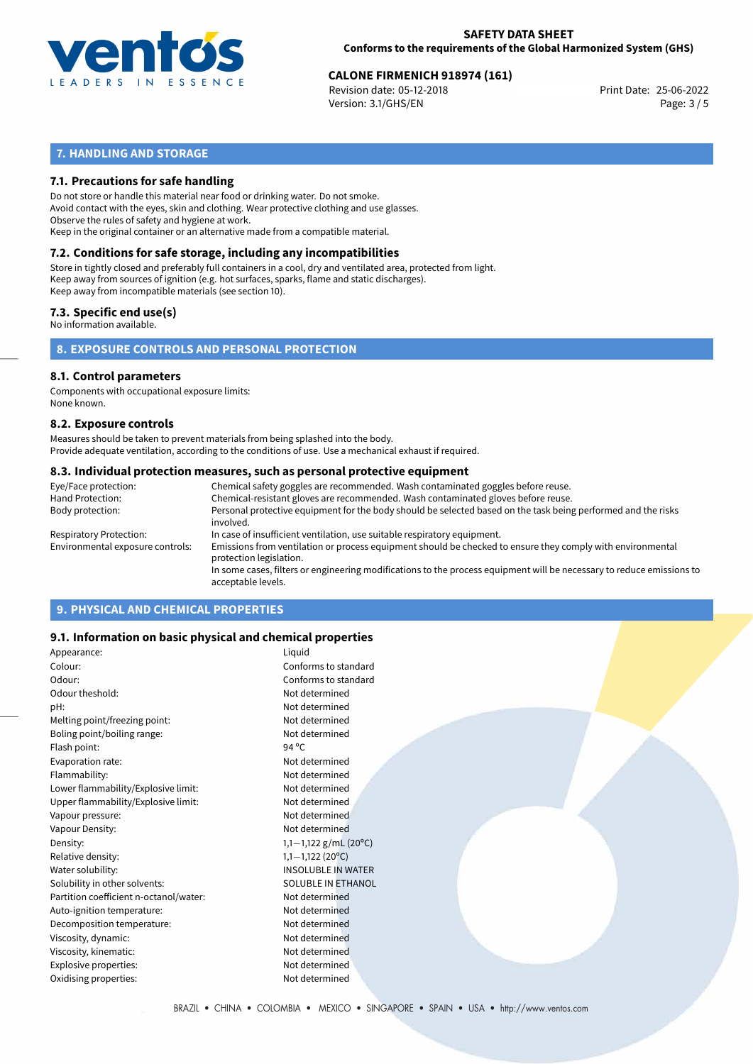

Revision date: 05-12-2018 Version: 3.1/GHS/EN Page: 3 / 5

## **7. HANDLING AND STORAGE**

### **7.1. Precautions for safe handling**

Do not store or handle this material near food or drinking water. Do not smoke. Avoid contact with the eyes, skin and clothing. Wear protective clothing and use glasses. Observe the rules of safety and hygiene at work. Keep in the original container or an alternative made from a compatible material.

## **7.2. Conditions for safe storage, including any incompatibilities**

Store in tightly closed and preferably full containers in a cool, dry and ventilated area, protected from light. Keep away from sources of ignition (e.g. hot surfaces, sparks, flame and static discharges). Keep away from incompatible materials (see section 10).

#### **7.3. Specific end use(s)**

No information available.

**8. EXPOSURE CONTROLS AND PERSONAL PROTECTION**

#### **8.1. Control parameters**

Components with occupational exposure limits: None known.

#### **8.2. Exposure controls**

Measures should be taken to prevent materials from being splashed into the body. Provide adequate ventilation, according to the conditions of use. Use a mechanical exhaust if required.

#### **8.3. Individual protection measures, such as personal protective equipment**

| Eye/Face protection:             | Chemical safety goggles are recommended. Wash contaminated goggles before reuse.                                                            |
|----------------------------------|---------------------------------------------------------------------------------------------------------------------------------------------|
| Hand Protection:                 | Chemical-resistant gloves are recommended. Wash contaminated gloves before reuse.                                                           |
| Body protection:                 | Personal protective equipment for the body should be selected based on the task being performed and the risks<br>involved.                  |
| Respiratory Protection:          | In case of insufficient ventilation, use suitable respiratory equipment.                                                                    |
| Environmental exposure controls: | Emissions from ventilation or process equipment should be checked to ensure they comply with environmental<br>protection legislation.       |
|                                  | In some cases, filters or engineering modifications to the process equipment will be necessary to reduce emissions to<br>acceptable levels. |
|                                  |                                                                                                                                             |

## **9. PHYSICAL AND CHEMICAL PROPERTIES**

#### **9.1. Information on basic physical and chemical properties**

| Appearance:                            | Liquid                    |
|----------------------------------------|---------------------------|
| Colour:                                | Conforms to standard      |
| Odour:                                 | Conforms to standard      |
| Odour theshold:                        | Not determined            |
| pH:                                    | Not determined            |
| Melting point/freezing point:          | Not determined            |
| Boling point/boiling range:            | Not determined            |
| Flash point:                           | 94 °C                     |
| Evaporation rate:                      | Not determined            |
| Flammability:                          | Not determined            |
| Lower flammability/Explosive limit:    | Not determined            |
| Upper flammability/Explosive limit:    | Not determined            |
| Vapour pressure:                       | Not determined            |
| Vapour Density:                        | Not determined            |
| Density:                               | 1,1-1,122 g/mL (20°C)     |
| Relative density:                      | $1,1-1,122$ (20°C)        |
| Water solubility:                      | <b>INSOLUBLE IN WATER</b> |
| Solubility in other solvents:          | SOLUBLE IN ETHANOL        |
| Partition coefficient n-octanol/water: | Not determined            |
| Auto-ignition temperature:             | Not determined            |
| Decomposition temperature:             | Not determined            |
| Viscosity, dynamic:                    | Not determined            |
| Viscosity, kinematic:                  | Not determined            |
| Explosive properties:                  | Not determined            |
| Oxidising properties:                  | Not determined            |
|                                        |                           |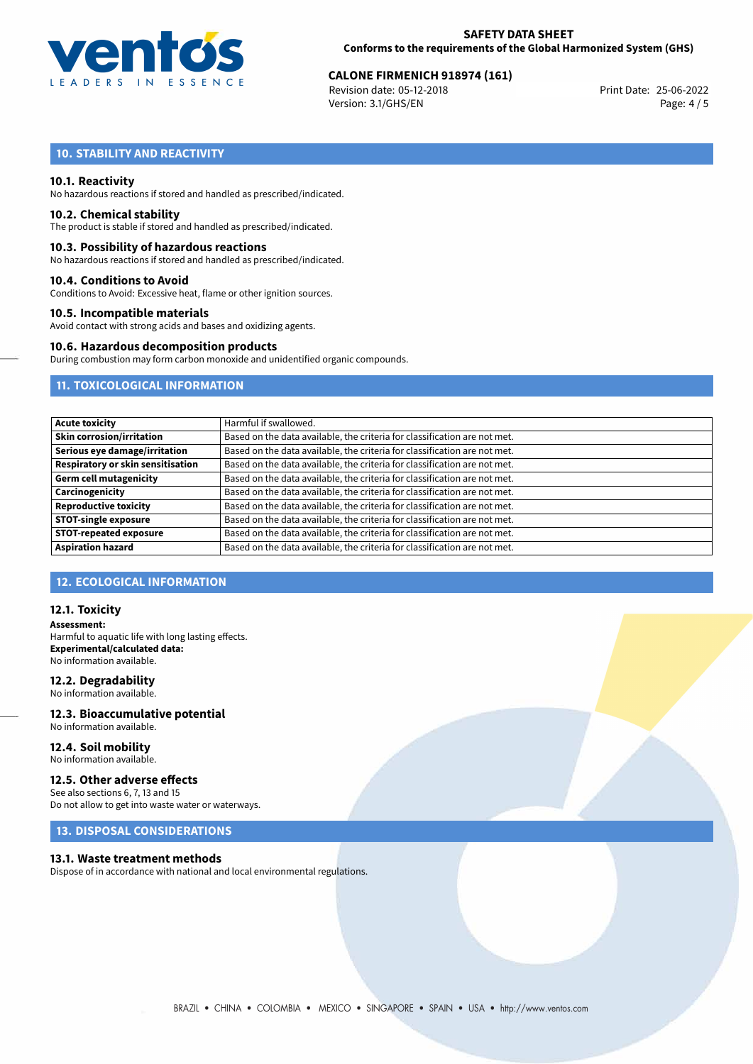

Revision date: 05-12-2018 Version: 3.1/GHS/EN Page: 4 / 5

## **10. STABILITY AND REACTIVITY**

#### **10.1. Reactivity**

No hazardous reactions if stored and handled as prescribed/indicated.

#### **10.2. Chemical stability**

The product is stable if stored and handled as prescribed/indicated.

#### **10.3. Possibility of hazardous reactions**

No hazardous reactions if stored and handled as prescribed/indicated.

#### **10.4. Conditions to Avoid**

Conditions to Avoid: Excessive heat, flame or other ignition sources.

#### **10.5. Incompatible materials**

Avoid contact with strong acids and bases and oxidizing agents.

#### **10.6. Hazardous decomposition products**

During combustion may form carbon monoxide and unidentified organic compounds.

## **11. TOXICOLOGICAL INFORMATION**

| <b>Acute toxicity</b>             | Harmful if swallowed.                                                     |  |  |  |
|-----------------------------------|---------------------------------------------------------------------------|--|--|--|
| <b>Skin corrosion/irritation</b>  | Based on the data available, the criteria for classification are not met. |  |  |  |
| Serious eye damage/irritation     | Based on the data available, the criteria for classification are not met. |  |  |  |
| Respiratory or skin sensitisation | Based on the data available, the criteria for classification are not met. |  |  |  |
| Germ cell mutagenicity            | Based on the data available, the criteria for classification are not met. |  |  |  |
| Carcinogenicity                   | Based on the data available, the criteria for classification are not met. |  |  |  |
| <b>Reproductive toxicity</b>      | Based on the data available, the criteria for classification are not met. |  |  |  |
| <b>STOT-single exposure</b>       | Based on the data available, the criteria for classification are not met. |  |  |  |
| <b>STOT-repeated exposure</b>     | Based on the data available, the criteria for classification are not met. |  |  |  |
| <b>Aspiration hazard</b>          | Based on the data available, the criteria for classification are not met. |  |  |  |

#### **12. ECOLOGICAL INFORMATION**

#### **12.1. Toxicity**

**Assessment:** Harmful to aquatic life with long lasting effects. **Experimental/calculated data:** No information available.

#### **12.2. Degradability**

No information available.

#### **12.3. Bioaccumulative potential** No information available.

**12.4. Soil mobility** No information available.

### **12.5. Other adverse effects**

See also sections 6, 7, 13 and 15 Do not allow to get into waste water or waterways.

## **13. DISPOSAL CONSIDERATIONS**

#### **13.1. Waste treatment methods**

Dispose of in accordance with national and local environmental regulations.